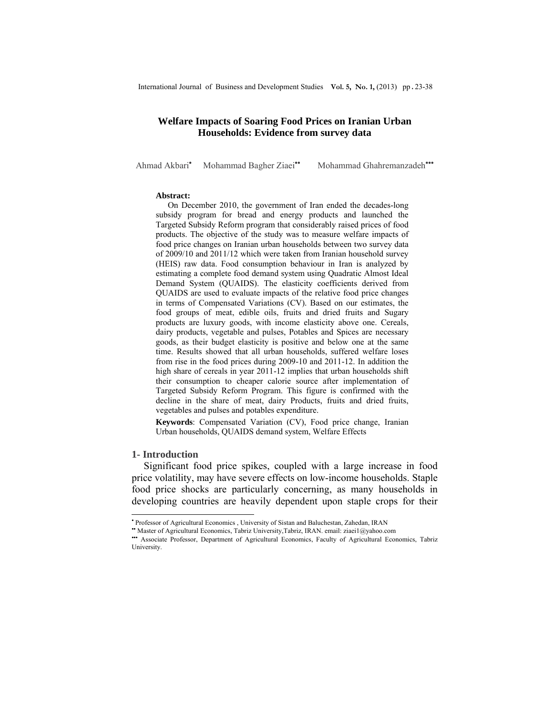# **Welfare Impacts of Soaring Food Prices on Iranian Urban Households: Evidence from survey data**

Ahmad Akbari•

Mohammad Bagher Ziaei<sup>••</sup> Mohammad Ghahremanzadeh<sup>•••</sup>

#### **Abstract:**

On December 2010, the government of Iran ended the decades-long subsidy program for bread and energy products and launched the Targeted Subsidy Reform program that considerably raised prices of food products. The objective of the study was to measure welfare impacts of food price changes on Iranian urban households between two survey data of 2009/10 and 2011/12 which were taken from Iranian household survey (HEIS) raw data. Food consumption behaviour in Iran is analyzed by estimating a complete food demand system using Quadratic Almost Ideal Demand System (QUAIDS). The elasticity coefficients derived from QUAIDS are used to evaluate impacts of the relative food price changes in terms of Compensated Variations (CV). Based on our estimates, the food groups of meat, edible oils, fruits and dried fruits and Sugary products are luxury goods, with income elasticity above one. Cereals, dairy products, vegetable and pulses, Potables and Spices are necessary goods, as their budget elasticity is positive and below one at the same time. Results showed that all urban households, suffered welfare loses from rise in the food prices during 2009-10 and 2011-12. In addition the high share of cereals in year 2011-12 implies that urban households shift their consumption to cheaper calorie source after implementation of Targeted Subsidy Reform Program. This figure is confirmed with the decline in the share of meat, dairy Products, fruits and dried fruits, vegetables and pulses and potables expenditure.

**Keywords**: Compensated Variation (CV), Food price change, Iranian Urban households, QUAIDS demand system, Welfare Effects

#### **1- Introduction**

 $\overline{a}$ 

Significant food price spikes, coupled with a large increase in food price volatility, may have severe effects on low-income households. Staple food price shocks are particularly concerning, as many households in developing countries are heavily dependent upon staple crops for their

<sup>•</sup> Professor of Agricultural Economics , University of Sistan and Baluchestan, Zahedan, IRAN

<sup>••</sup> Master of Agricultural Economics, Tabriz University,Tabriz, IRAN. email: ziaei1@yahoo.com

<sup>•••</sup> Associate Professor, Department of Agricultural Economics, Faculty of Agricultural Economics, Tabriz University.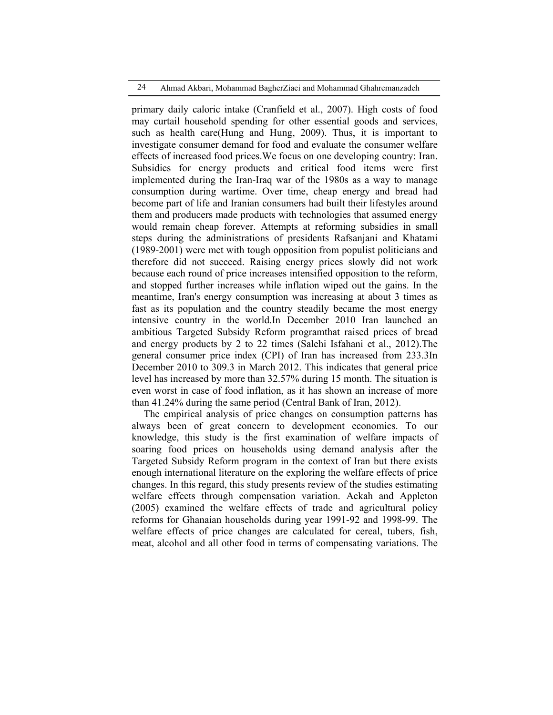### 24 Ahmad Akbari, Mohammad BagherZiaei and Mohammad Ghahremanzadeh

primary daily caloric intake (Cranfield et al., 2007). High costs of food may curtail household spending for other essential goods and services, such as health care(Hung and Hung, 2009). Thus, it is important to investigate consumer demand for food and evaluate the consumer welfare effects of increased food prices.We focus on one developing country: Iran. Subsidies for energy products and critical food items were first implemented during the Iran-Iraq war of the 1980s as a way to manage consumption during wartime. Over time, cheap energy and bread had become part of life and Iranian consumers had built their lifestyles around them and producers made products with technologies that assumed energy would remain cheap forever. Attempts at reforming subsidies in small steps during the administrations of presidents Rafsanjani and Khatami (1989-2001) were met with tough opposition from populist politicians and therefore did not succeed. Raising energy prices slowly did not work because each round of price increases intensified opposition to the reform, and stopped further increases while inflation wiped out the gains. In the meantime, Iran's energy consumption was increasing at about 3 times as fast as its population and the country steadily became the most energy intensive country in the world.In December 2010 Iran launched an ambitious Targeted Subsidy Reform programthat raised prices of bread and energy products by 2 to 22 times (Salehi Isfahani et al., 2012).The general consumer price index (CPI) of Iran has increased from 233.3In December 2010 to 309.3 in March 2012. This indicates that general price level has increased by more than 32.57% during 15 month. The situation is even worst in case of food inflation, as it has shown an increase of more than 41.24% during the same period (Central Bank of Iran, 2012).

The empirical analysis of price changes on consumption patterns has always been of great concern to development economics. To our knowledge, this study is the first examination of welfare impacts of soaring food prices on households using demand analysis after the Targeted Subsidy Reform program in the context of Iran but there exists enough international literature on the exploring the welfare effects of price changes. In this regard, this study presents review of the studies estimating welfare effects through compensation variation. Ackah and Appleton (2005) examined the welfare effects of trade and agricultural policy reforms for Ghanaian households during year 1991-92 and 1998-99. The welfare effects of price changes are calculated for cereal, tubers, fish, meat, alcohol and all other food in terms of compensating variations. The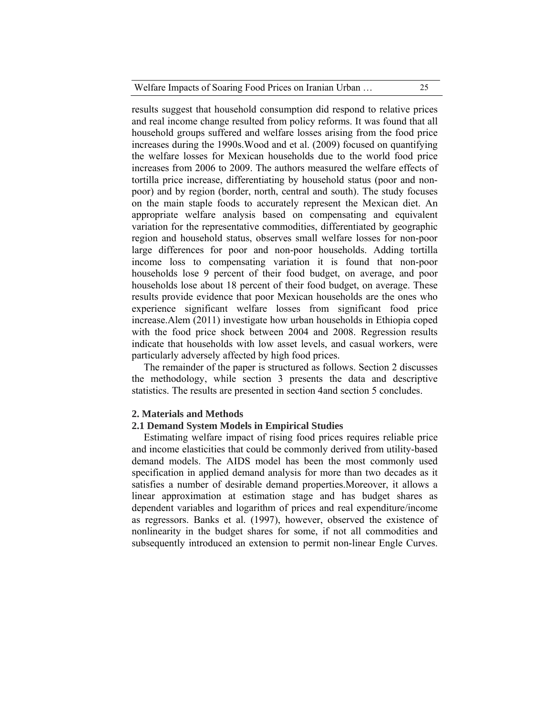results suggest that household consumption did respond to relative prices and real income change resulted from policy reforms. It was found that all household groups suffered and welfare losses arising from the food price increases during the 1990s.Wood and et al. (2009) focused on quantifying the welfare losses for Mexican households due to the world food price increases from 2006 to 2009. The authors measured the welfare effects of tortilla price increase, differentiating by household status (poor and nonpoor) and by region (border, north, central and south). The study focuses on the main staple foods to accurately represent the Mexican diet. An appropriate welfare analysis based on compensating and equivalent variation for the representative commodities, differentiated by geographic region and household status, observes small welfare losses for non-poor large differences for poor and non-poor households. Adding tortilla income loss to compensating variation it is found that non-poor households lose 9 percent of their food budget, on average, and poor households lose about 18 percent of their food budget, on average. These results provide evidence that poor Mexican households are the ones who experience significant welfare losses from significant food price increase.Alem (2011) investigate how urban households in Ethiopia coped with the food price shock between 2004 and 2008. Regression results indicate that households with low asset levels, and casual workers, were particularly adversely affected by high food prices.

The remainder of the paper is structured as follows. Section 2 discusses the methodology, while section 3 presents the data and descriptive statistics. The results are presented in section 4and section 5 concludes.

### **2. Materials and Methods**

### **2.1 Demand System Models in Empirical Studies**

Estimating welfare impact of rising food prices requires reliable price and income elasticities that could be commonly derived from utility-based demand models. The AIDS model has been the most commonly used specification in applied demand analysis for more than two decades as it satisfies a number of desirable demand properties.Moreover, it allows a linear approximation at estimation stage and has budget shares as dependent variables and logarithm of prices and real expenditure/income as regressors. Banks et al. (1997), however, observed the existence of nonlinearity in the budget shares for some, if not all commodities and subsequently introduced an extension to permit non-linear Engle Curves.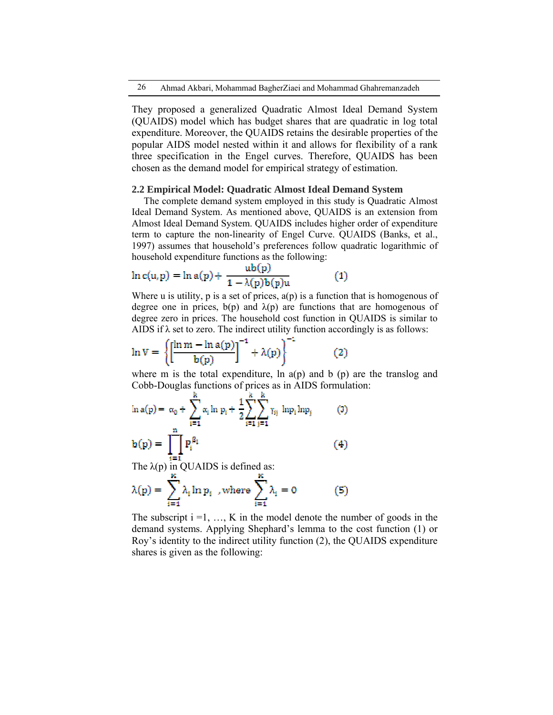They proposed a generalized Quadratic Almost Ideal Demand System (QUAIDS) model which has budget shares that are quadratic in log total expenditure. Moreover, the QUAIDS retains the desirable properties of the popular AIDS model nested within it and allows for flexibility of a rank three specification in the Engel curves. Therefore, QUAIDS has been chosen as the demand model for empirical strategy of estimation.

### **2.2 Empirical Model: Quadratic Almost Ideal Demand System**

The complete demand system employed in this study is Quadratic Almost Ideal Demand System. As mentioned above, QUAIDS is an extension from Almost Ideal Demand System. QUAIDS includes higher order of expenditure term to capture the non-linearity of Engel Curve. QUAIDS (Banks, et al., 1997) assumes that household's preferences follow quadratic logarithmic of household expenditure functions as the following:

$$
\ln c(u, p) = \ln a(p) + \frac{ub(p)}{1 - \lambda(p)b(p)u}
$$
 (1)

Where u is utility, p is a set of prices,  $a(p)$  is a function that is homogenous of degree one in prices,  $b(p)$  and  $\lambda(p)$  are functions that are homogenous of degree zero in prices. The household cost function in QUAIDS is similar to AIDS if  $\lambda$  set to zero. The indirect utility function accordingly is as follows:

$$
\ln V = \left\{ \left[ \frac{\ln m - \ln a(p)}{b(p)} \right]^{-1} + \lambda(p) \right\}^{-1}
$$
 (2)

where m is the total expenditure, ln  $a(p)$  and b  $(p)$  are the translog and Cobb-Douglas functions of prices as in AIDS formulation:

$$
\ln a(p) = \alpha_0 + \sum_{i=1}^{n} \alpha_i \ln p_i + \frac{1}{2} \sum_{i=1}^{n} \sum_{j=1}^{n} \gamma_{ij} \ln p_i \ln p_j \tag{3}
$$
  

$$
b(p) = \prod_{i=1}^{n} P_i^{\beta_i} \tag{4}
$$

The  $\lambda(p)$  in QUAIDS is defined as:

$$
\lambda(p) = \sum_{i=1}^{K} \lambda_i \ln p_i \quad \text{where} \quad \sum_{i=1}^{K} \lambda_i = 0 \tag{5}
$$

The subscript  $i = 1, \ldots, K$  in the model denote the number of goods in the demand systems. Applying Shephard's lemma to the cost function (1) or Roy's identity to the indirect utility function (2), the QUAIDS expenditure shares is given as the following: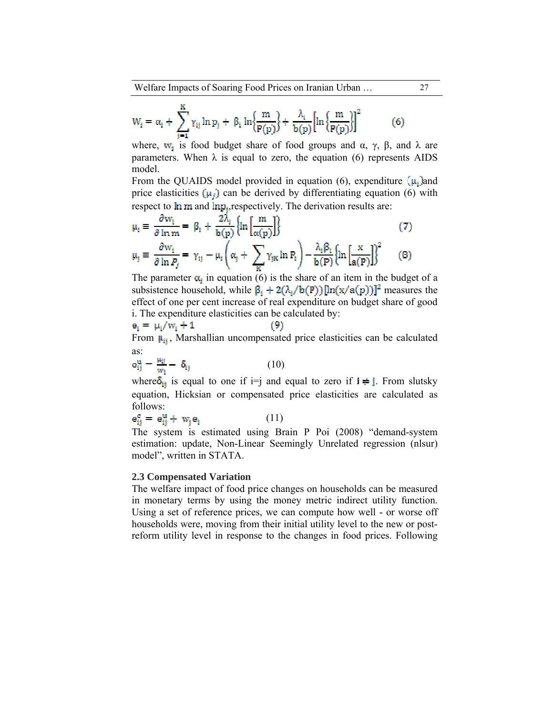Welfare Impacts of Soaring Food Prices on Iranian Urban … 27

$$
W_i = \alpha_i + \sum_{j=1}^{K} \gamma_{ij} \ln p_j + \beta_i \ln \left\{ \frac{m}{P(p)} \right\} + \frac{\lambda_i}{b(p)} \left[ \ln \left\{ \frac{m}{P(p)} \right\} \right]^2 \tag{6}
$$

where,  $w_i$  is food budget share of food groups and  $\alpha$ ,  $\gamma$ ,  $\beta$ , and  $\lambda$  are parameters. When  $\lambda$  is equal to zero, the equation (6) represents AIDS model.

From the QUAIDS model provided in equation (6), expenditure  $(\mu_i)$  and price elasticities ( $\mu_i$ ) can be derived by differentiating equation (6) with respect to  $\ln m$  and  $\ln p_j$ , respectively. The derivation results are:

$$
\mu_{i} \equiv \frac{\partial w_{i}}{\partial \ln m} = \beta_{i} + \frac{2\lambda_{i}}{b(p)} \left\{ \ln \left[ \frac{m}{\alpha(p)} \right] \right\}
$$
(7)  

$$
\mu_{j} \equiv \frac{\partial w_{i}}{\partial \ln P_{j}} = \gamma_{ij} - \mu_{i} \left( \alpha_{j} + \sum_{K} \gamma_{jK} \ln P_{i} \right) - \frac{\lambda_{i} \beta_{i}}{b(P)} \left\{ \ln \left[ \frac{x}{a(P)} \right] \right\}^{2}
$$
(8)

The parameter  $\alpha_i$  in equation (6) is the share of an item in the budget of a subsistence household, while  $\beta_1 + 2(\lambda_1/b(P)) [\ln(x/a(p))]^2$  measures the effect of one per cent increase of real expenditure on budget share of good i. The expenditure elasticities can be calculated by:

$$
e_i = \mu_i/w_i + 1
$$
 (9)  
From  $\mu_{ij}$ , Marshallian uncompressed price elasticities can as:

$$
\mathbf{a}_{ij}^{\mathbf{u}} - \frac{\mu_{ij}}{w_i} - \delta_{ij} \tag{10}
$$

where  $\delta_{ij}$  is equal to one if i=j and equal to zero if  $i \neq j$ . From slutsky equation, Hicksian or compensated price elasticities are calculated as follows:

$$
\mathbf{e}_{ij}^c = \mathbf{e}_{ij}^u + \mathbf{w}_j \mathbf{e}_i \tag{11}
$$

The system is estimated using Brain P Poi (2008) "demand-system estimation: update, Non-Linear Seemingly Unrelated regression (nlsur) model", written in STATA.

### **2.3 Compensated Variation**

The welfare impact of food price changes on households can be measured in monetary terms by using the money metric indirect utility function. Using a set of reference prices, we can compute how well - or worse off households were, moving from their initial utility level to the new or postreform utility level in response to the changes in food prices. Following

be calculated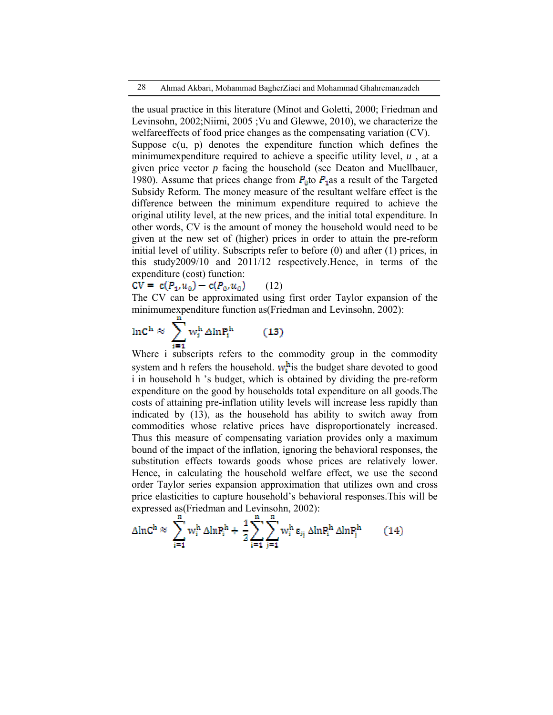28 Ahmad Akbari, Mohammad BagherZiaei and Mohammad Ghahremanzadeh

the usual practice in this literature (Minot and Goletti, 2000; Friedman and Levinsohn, 2002;Niimi, 2005 ;Vu and Glewwe, 2010), we characterize the welfareeffects of food price changes as the compensating variation (CV). Suppose  $c(u, p)$  denotes the expenditure function which defines the minimumexpenditure required to achieve a specific utility level, *u* , at a given price vector *p* facing the household (see Deaton and Muellbauer, 1980). Assume that prices change from  $P_{\text{n}}$  to  $P_{\text{n}}$  as a result of the Targeted Subsidy Reform. The money measure of the resultant welfare effect is the difference between the minimum expenditure required to achieve the original utility level, at the new prices, and the initial total expenditure. In other words, CV is the amount of money the household would need to be given at the new set of (higher) prices in order to attain the pre-reform initial level of utility. Subscripts refer to before (0) and after (1) prices, in this study2009/10 and 2011/12 respectively.Hence, in terms of the expenditure (cost) function:

 $CV = c(P_1, u_0) - c(P_0, u_0)$  (12)

The CV can be approximated using first order Taylor expansion of the minimumexpenditure function as(Friedman and Levinsohn, 2002):



Where i subscripts refers to the commodity group in the commodity system and h refers the household.  $w_i^h$  is the budget share devoted to good i in household h 's budget, which is obtained by dividing the pre-reform expenditure on the good by households total expenditure on all goods.The costs of attaining pre-inflation utility levels will increase less rapidly than indicated by (13), as the household has ability to switch away from commodities whose relative prices have disproportionately increased. Thus this measure of compensating variation provides only a maximum bound of the impact of the inflation, ignoring the behavioral responses, the substitution effects towards goods whose prices are relatively lower. Hence, in calculating the household welfare effect, we use the second order Taylor series expansion approximation that utilizes own and cross price elasticities to capture household's behavioral responses.This will be expressed as(Friedman and Levinsohn, 2002):

$$
\Delta \ln C^{\rm h} \approx \sum_{i=1}^{n} w_i^{\rm h} \,\Delta \ln P_i^{\rm h} + \frac{1}{2} \sum_{i=1}^{n} \sum_{j=1}^{n} w_i^{\rm h} \,\epsilon_{ij} \,\Delta \ln P_i^{\rm h} \,\Delta \ln P_j^{\rm h} \tag{14}
$$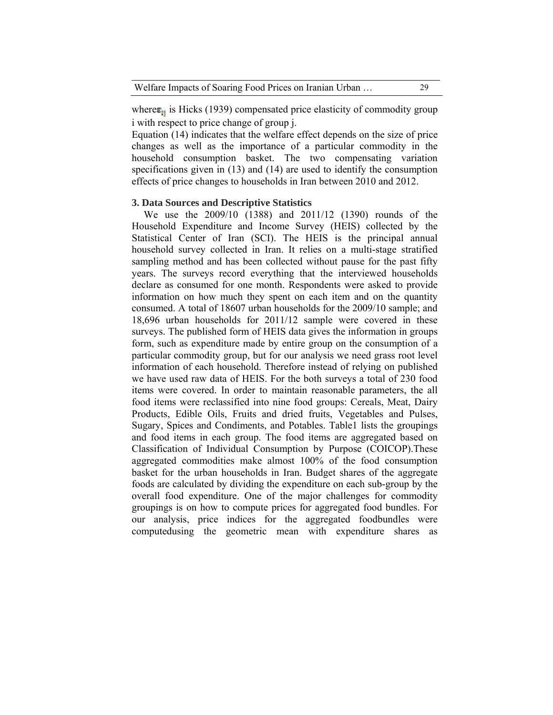where  $\epsilon_{ii}$  is Hicks (1939) compensated price elasticity of commodity group i with respect to price change of group j.

Equation (14) indicates that the welfare effect depends on the size of price changes as well as the importance of a particular commodity in the household consumption basket. The two compensating variation specifications given in (13) and (14) are used to identify the consumption effects of price changes to households in Iran between 2010 and 2012.

# **3. Data Sources and Descriptive Statistics**

We use the 2009/10 (1388) and 2011/12 (1390) rounds of the Household Expenditure and Income Survey (HEIS) collected by the Statistical Center of Iran (SCI). The HEIS is the principal annual household survey collected in Iran. It relies on a multi-stage stratified sampling method and has been collected without pause for the past fifty years. The surveys record everything that the interviewed households declare as consumed for one month. Respondents were asked to provide information on how much they spent on each item and on the quantity consumed. A total of 18607 urban households for the 2009/10 sample; and 18,696 urban households for 2011/12 sample were covered in these surveys. The published form of HEIS data gives the information in groups form, such as expenditure made by entire group on the consumption of a particular commodity group, but for our analysis we need grass root level information of each household. Therefore instead of relying on published we have used raw data of HEIS. For the both surveys a total of 230 food items were covered. In order to maintain reasonable parameters, the all food items were reclassified into nine food groups: Cereals, Meat, Dairy Products, Edible Oils, Fruits and dried fruits, Vegetables and Pulses, Sugary, Spices and Condiments, and Potables. Table1 lists the groupings and food items in each group. The food items are aggregated based on Classification of Individual Consumption by Purpose (COICOP).These aggregated commodities make almost 100% of the food consumption basket for the urban households in Iran. Budget shares of the aggregate foods are calculated by dividing the expenditure on each sub-group by the overall food expenditure. One of the major challenges for commodity groupings is on how to compute prices for aggregated food bundles. For our analysis, price indices for the aggregated foodbundles were computedusing the geometric mean with expenditure shares as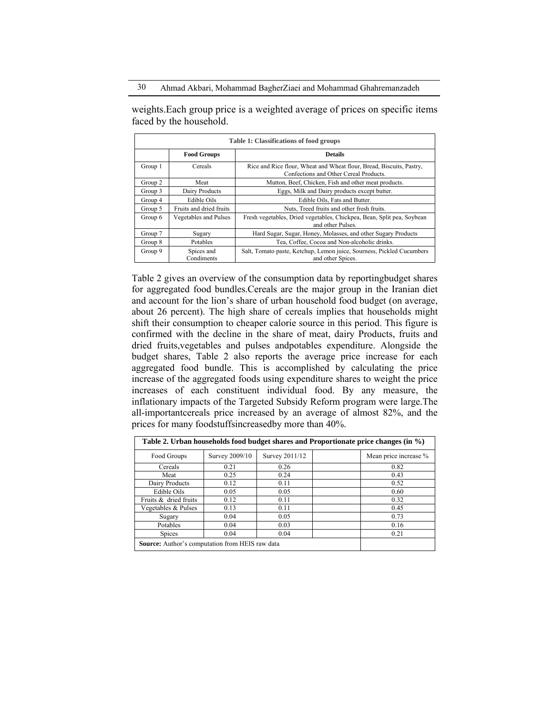weights.Each group price is a weighted average of prices on specific items faced by the household.

| Table 1: Classifications of food groups |                          |                                                                                                                |  |  |  |  |  |
|-----------------------------------------|--------------------------|----------------------------------------------------------------------------------------------------------------|--|--|--|--|--|
|                                         | <b>Food Groups</b>       | <b>Details</b>                                                                                                 |  |  |  |  |  |
| Group 1                                 | Cereals                  | Rice and Rice flour, Wheat and Wheat flour, Bread, Biscuits, Pastry,<br>Confections and Other Cereal Products. |  |  |  |  |  |
| Group 2                                 | Meat                     | Mutton, Beef, Chicken, Fish and other meat products.                                                           |  |  |  |  |  |
| Group 3                                 | Dairy Products           | Eggs, Milk and Dairy products except butter.                                                                   |  |  |  |  |  |
| Group 4                                 | Edible Oils              | Edible Oils, Fats and Butter.                                                                                  |  |  |  |  |  |
| Group 5                                 | Fruits and dried fruits  | Nuts, Treed fruits and other fresh fruits.                                                                     |  |  |  |  |  |
| Group 6                                 | Vegetables and Pulses    | Fresh vegetables, Dried vegetables, Chickpea, Bean, Split pea, Soybean<br>and other Pulses.                    |  |  |  |  |  |
| Group 7                                 | Sugary                   | Hard Sugar, Sugar, Honey, Molasses, and other Sugary Products                                                  |  |  |  |  |  |
| Group 8                                 | <b>Potables</b>          | Tea, Coffee, Cocoa and Non-alcoholic drinks.                                                                   |  |  |  |  |  |
| Group 9                                 | Spices and<br>Condiments | Salt, Tomato paste, Ketchup, Lemon juice, Sourness, Pickled Cucumbers<br>and other Spices.                     |  |  |  |  |  |

Table 2 gives an overview of the consumption data by reportingbudget shares for aggregated food bundles.Cereals are the major group in the Iranian diet and account for the lion's share of urban household food budget (on average, about 26 percent). The high share of cereals implies that households might shift their consumption to cheaper calorie source in this period. This figure is confirmed with the decline in the share of meat, dairy Products, fruits and dried fruits,vegetables and pulses andpotables expenditure. Alongside the budget shares, Table 2 also reports the average price increase for each aggregated food bundle. This is accomplished by calculating the price increase of the aggregated foods using expenditure shares to weight the price increases of each constituent individual food. By any measure, the inflationary impacts of the Targeted Subsidy Reform program were large.The all-importantcereals price increased by an average of almost 82%, and the prices for many foodstuffsincreasedby more than 40%.

| Table 2. Urban households food budget shares and Proportionate price changes (in $\%$ ) |                |                |                       |  |  |  |  |  |
|-----------------------------------------------------------------------------------------|----------------|----------------|-----------------------|--|--|--|--|--|
| Food Groups                                                                             | Survey 2009/10 | Survey 2011/12 | Mean price increase % |  |  |  |  |  |
| Cereals                                                                                 | 0.21           | 0.26           | 0.82                  |  |  |  |  |  |
| Meat                                                                                    | 0.25           | 0.24           | 0.43                  |  |  |  |  |  |
| Dairy Products                                                                          | 0.12           | 0.11           | 0.52                  |  |  |  |  |  |
| Edible Oils                                                                             | 0.05           | 0.05           | 0.60                  |  |  |  |  |  |
| Fruits & dried fruits                                                                   | 0.12           | 0.11           | 0.32                  |  |  |  |  |  |
| Vegetables & Pulses                                                                     | 0.13           | 0.11           | 0.45                  |  |  |  |  |  |
| Sugary                                                                                  | 0.04           | 0.05           | 0.73                  |  |  |  |  |  |
| Potables                                                                                | 0.04           | 0.03           | 0.16                  |  |  |  |  |  |
| <b>Spices</b>                                                                           | 0.04           | 0.04           | 0.21                  |  |  |  |  |  |
| <b>Source:</b> Author's computation from HEIS raw data                                  |                |                |                       |  |  |  |  |  |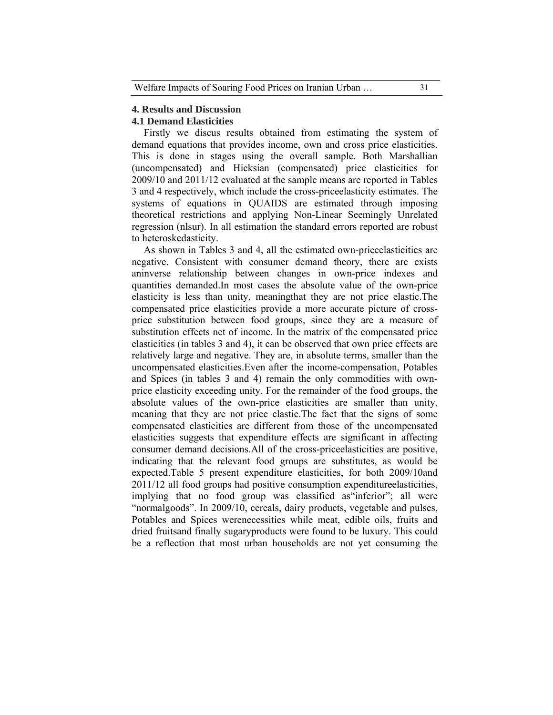# **4. Results and Discussion**

### **4.1 Demand Elasticities**

Firstly we discus results obtained from estimating the system of demand equations that provides income, own and cross price elasticities. This is done in stages using the overall sample. Both Marshallian (uncompensated) and Hicksian (compensated) price elasticities for 2009/10 and 2011/12 evaluated at the sample means are reported in Tables 3 and 4 respectively, which include the cross-priceelasticity estimates. The systems of equations in QUAIDS are estimated through imposing theoretical restrictions and applying Non-Linear Seemingly Unrelated regression (nlsur). In all estimation the standard errors reported are robust to heteroskedasticity.

As shown in Tables 3 and 4, all the estimated own-priceelasticities are negative. Consistent with consumer demand theory, there are exists aninverse relationship between changes in own-price indexes and quantities demanded.In most cases the absolute value of the own-price elasticity is less than unity, meaningthat they are not price elastic.The compensated price elasticities provide a more accurate picture of crossprice substitution between food groups, since they are a measure of substitution effects net of income. In the matrix of the compensated price elasticities (in tables 3 and 4), it can be observed that own price effects are relatively large and negative. They are, in absolute terms, smaller than the uncompensated elasticities.Even after the income-compensation, Potables and Spices (in tables 3 and 4) remain the only commodities with ownprice elasticity exceeding unity. For the remainder of the food groups, the absolute values of the own-price elasticities are smaller than unity, meaning that they are not price elastic.The fact that the signs of some compensated elasticities are different from those of the uncompensated elasticities suggests that expenditure effects are significant in affecting consumer demand decisions.All of the cross-priceelasticities are positive, indicating that the relevant food groups are substitutes, as would be expected.Table 5 present expenditure elasticities, for both 2009/10and 2011/12 all food groups had positive consumption expenditureelasticities, implying that no food group was classified as inferior"; all were "normalgoods". In 2009/10, cereals, dairy products, vegetable and pulses, Potables and Spices werenecessities while meat, edible oils, fruits and dried fruitsand finally sugaryproducts were found to be luxury. This could be a reflection that most urban households are not yet consuming the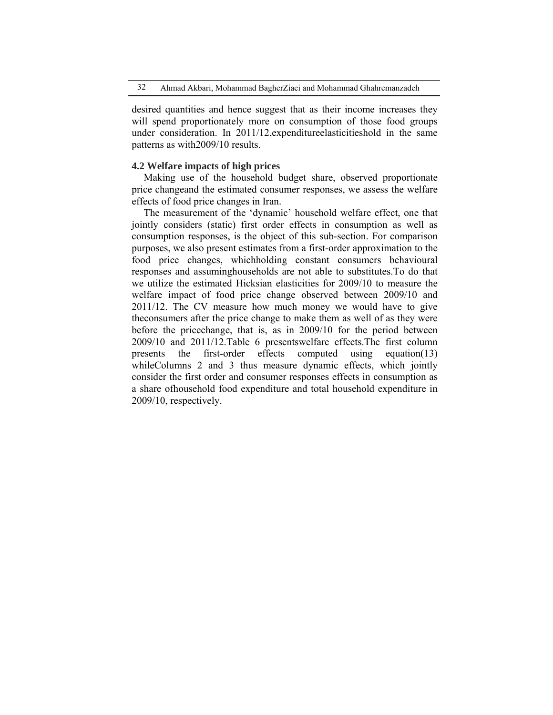desired quantities and hence suggest that as their income increases they will spend proportionately more on consumption of those food groups under consideration. In 2011/12,expenditureelasticitieshold in the same patterns as with2009/10 results.

### **4.2 Welfare impacts of high prices**

Making use of the household budget share, observed proportionate price changeand the estimated consumer responses, we assess the welfare effects of food price changes in Iran.

The measurement of the 'dynamic' household welfare effect, one that jointly considers (static) first order effects in consumption as well as consumption responses, is the object of this sub-section. For comparison purposes, we also present estimates from a first-order approximation to the food price changes, whichholding constant consumers behavioural responses and assuminghouseholds are not able to substitutes.To do that we utilize the estimated Hicksian elasticities for 2009/10 to measure the welfare impact of food price change observed between 2009/10 and 2011/12. The CV measure how much money we would have to give theconsumers after the price change to make them as well of as they were before the pricechange, that is, as in 2009/10 for the period between 2009/10 and 2011/12.Table 6 presentswelfare effects.The first column presents the first-order effects computed using equation(13) whileColumns 2 and 3 thus measure dynamic effects, which jointly consider the first order and consumer responses effects in consumption as a share ofhousehold food expenditure and total household expenditure in 2009/10, respectively.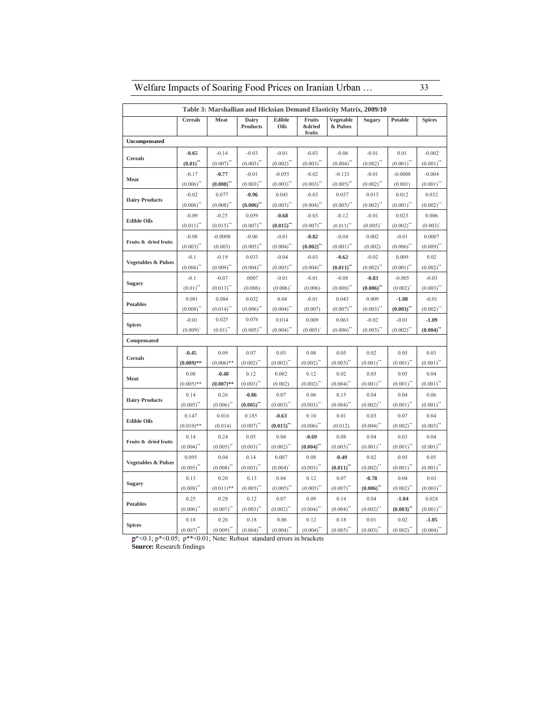| Welfare Impacts of Soaring Food Prices on Iranian Urban | 33 |
|---------------------------------------------------------|----|
|                                                         |    |

|                                |                         |                         |                          |                         |                            | Table 3: Marshallian and Hicksian Demand Elasticity Matrix, 2009/10 |                         |                         |                         |
|--------------------------------|-------------------------|-------------------------|--------------------------|-------------------------|----------------------------|---------------------------------------------------------------------|-------------------------|-------------------------|-------------------------|
|                                | Cereals                 | Meat                    | Dairy<br><b>Products</b> | Edible<br>Oils          | Fruits<br>&dried<br>fruits | Vegetable<br>& Pulses                                               | Sugary                  | Potable                 | <b>Spices</b>           |
| <b>Uncompensated</b>           |                         |                         |                          |                         |                            |                                                                     |                         |                         |                         |
|                                | $-0.65$                 | $-0.14$                 | $-0.03$                  | $-0.01$                 | $-0.03$                    | $-0.06$                                                             | $-0.01$                 | 0.01                    | $-0.002$                |
| <b>Cereals</b>                 | $(0.01)^{**}$           | $(0.007)^{''}$          | $(0.003)$ "              | $(0.002)^{4}$           | $(0.003)^{**}$             | $(0.004)^{4}$                                                       | $(0.002)^{4}$           | $(0.001)^{**}$          | $(0.001)^{**}$          |
|                                | $-0.17$                 | $-0.77$                 | $-0.01$                  | $-0.055$                | $-0.02$                    | $-0.133$                                                            | $-0.01$                 | $-0.0008$               | $-0.004$                |
| Meat                           | $(0.006)$ **            | $(0.008)$ <sup>**</sup> | $(0.003)$ **             | $(0.003)$ **            | $(0.003)$ <sup>**</sup>    | $(0.005)$ <sup>**</sup>                                             | $(0.002)$ <sup>**</sup> | (0.001)                 | $(0.001)^{**}$          |
|                                | $-0.02$                 | 0.077                   | $-0.96$                  | 0.041                   | $-0.03$                    | 0.057                                                               | 0.015                   | 0.012                   | 0.032                   |
| <b>Dairy Products</b>          | $(0.006)^{4}$           | $(0.008)^{''}$          | $(0.006)$ <sup>**</sup>  | $(0.003)^*$             | $(0.004)^{**}$             | $(0.005)^{**}$                                                      | $(0.002)^{4}$           | $(0.001)^{**}$          | $(0.002)^{n}$           |
|                                | $-0.09$                 | $-0.25$                 | 0.059                    | $-0.68$                 | $-0.03$                    | $-0.12$                                                             | $-0.01$                 | 0.023                   | 0.006                   |
| <b>Edible Oils</b>             | $(0.011)^{**}$          | $(0.015)$ "             | $(0.007)^{**}$           | $(0.015)$ <sup>**</sup> | $(0.007)^{**}$             | $(0.013)$ **                                                        | $(0.005)^{4}$           | $(0.002)^{**}$          | $(0.003)^+$             |
|                                | $-0.08$                 | $-0.0008$               | $-0.06$                  | $-0.01$                 | $-0.82$                    | $-0.04$                                                             | 0.002                   | $-0.01$                 | 0.0007                  |
| Fruits & dried fruits          | (0.003)                 | (0.003)                 | (0.005)                  | $(0.004)^{n}$           | $(0.002)$ <sup>**</sup>    | $(0.001)^{**}$                                                      | (0.002)                 | (0.006)                 | $(0.009)^{4}$           |
|                                | $-0.1$                  | $-0.19$                 | 0.033                    | $-0.04$                 | $-0.03$                    | $-0.62$                                                             | $-0.02$                 | 0.009                   | 0.02                    |
| <b>Vegetables &amp; Pulses</b> | (0.006)                 | $(0.009)^{**}$          | $(0.004)^{**}$           | $(0.005)^{4}$           | $(0.004)^{**}$             | $(0.011)$ <sup>**</sup>                                             | $(0.002)$ **            | $(0.001)^{**}$          | $(0.002)^{''}$          |
|                                | $-0.1$                  | $-0.07$                 | .0007                    | $-0.01$                 | $-0.01$                    | $-0.08$                                                             | $-0.83$                 | $-0.005$                | $-0.03$                 |
| Sugary                         | $(0.01)^{''}$           | $(0.013)^{4}$           | (0.006)                  | (0.006)                 | (0.006)                    | $(0.008)$ <sup>**</sup>                                             | $(0.006)^{n}$           | (0.002)                 | $(0.003)^{''}$          |
|                                | 0.081                   | 0.084                   | 0.032                    | 0.04                    | $-0.01$                    | 0.043                                                               | 0.009                   | $-1.08$                 | $-0.01$                 |
| <b>Potables</b>                | $(0.008)^{4}$           | $(0.014)^{4}$           | $(0.006)$ <sup>**</sup>  | $(0.004)^*$             | (0.007)                    | $(0.007)^{**}$                                                      | $(0.003)^*$             | $(0.003)$ <sup>**</sup> | $(0.002)^{*}$           |
|                                | $-0.01$                 | 0.025                   | 0.076                    | 0.014                   | 0.009                      | 0.063                                                               | $-0.02$                 | $-0.01$                 | $-1.09$                 |
| <b>Spices</b>                  | $(0.009)^+$             | $(0.01)^{**}$           | $(0.005)$ **             | $(0.004)^{4}$           | $(0.005)^+$                | $(0.006)^*$                                                         | $(0.003)$ <sup>**</sup> | $(0.002)$ <sup>**</sup> | $(0.004)$ <sup>**</sup> |
| Compensated                    |                         |                         |                          |                         |                            |                                                                     |                         |                         |                         |
|                                | $-0.45$                 | 0.09                    | 0.07                     | 0.03                    | 0.08                       | 0.05                                                                | 0.02                    | 0.05                    | 0.03                    |
| <b>Cereals</b>                 | $(0.009)$ **            | $(0.006)$ **            | $(0.002)$ **             | $(0.002)$ <sup>**</sup> | $(0.002)$ <sup>**</sup>    | $(0.003)^*$                                                         | $(0.001)^{**}$          | $(0.001)^{**}$          | $(0.001)^{**}$          |
|                                | 0.08                    | $-0.48$                 | 0.12                     | 0.002                   | 0.12                       | 0.02                                                                | 0.03                    | 0.05                    | 0.04                    |
| Meat                           | $(0.005)$ **            | $(0.007)$ **            | $(0.003)^{n}$            | (0.002)                 | $(0.002)^{n}$              | $(0.004)^{4}$                                                       | $(0.001)^{''}$          | $(0.001)^{n}$           | $(0.001)^{''}$          |
|                                | 0.14                    | 0.26                    | $-0.86$                  | 0.07                    | 0.06                       | 0.15                                                                | 0.04                    | 0.04                    | 0.06                    |
| <b>Dairy Products</b>          | $(0.005)$ <sup>**</sup> | $(0.006)^*$             | $(0.005)$ <sup>**</sup>  | $(0.003)$ **            | $(0.003)$ <sup>**</sup>    | $(0.004)^{4}$                                                       | $(0.002)^*$             | $(0.001)^{4}$           | $(0.001)^*$             |
|                                | 0.147                   | 0.016                   | 0.185                    | $-0.63$                 | 0.10                       | 0.01                                                                | 0.03                    | 0.07                    | 0.04                    |
| <b>Edible Oils</b>             | $(0.010)$ **            | (0.014)                 | $(0.007)^{44}$           | $(0.015)$ <sup>**</sup> | $(0.006)^*$                | (0.012)                                                             | $(0.004)^{n}$           | $(0.002)^{4}$           | $(0.003)^{n}$           |
|                                | 0.14                    | 0.24                    | 0.05                     | 0.04                    | $-0.69$                    | 0.08                                                                | 0.04                    | 0.03                    | 0.04                    |
| Fruits & dried fruits          | $(0.004)$ **            | $(0.005)$ "             | $(0.003)$ **             | $(0.002)^{**}$          | $(0.004)$ <sup>**</sup>    | $(0.003)$ <sup>**</sup>                                             | $(0.001)^{**}$          | $(0.001)^{**}$          | $(0.001)^{**}$          |
|                                | 0.095                   | 0.04                    | 0.14                     | 0.007                   | 0.08                       | $-0.49$                                                             | 0.02                    | 0.05                    | 0.05                    |
| <b>Vegetables &amp; Pulses</b> | $(0.005)$ **            | $(0.008)^{n}$           | $(0.003)$ **             | $(0.004)^+$             | $(0.003)$ <sup>**</sup>    | $(0.011)$ <sup>**</sup>                                             | $(0.002)^{44}$          | $(0.001)^{44}$          | $(0.001)^{**}$          |
|                                | 0.13                    | 0.20                    | 0.13                     | 0.04                    | 0.12                       | 0.07                                                                | $-0.78$                 | 0.04                    | 0.01                    |
| Sugary                         | $(0.008)$ **            | $(0.011)$ **            | $(0.005)$ **             | $(0.005)$ "             | $(0.005)$ <sup>**</sup>    | $(0.007)^{**}$                                                      | $(0.006)$ <sup>**</sup> | $(0.002)^{**}$          | $(0.003)$ <sup>**</sup> |
|                                | 0.25                    | 0.28                    | 0.12                     | 0.07                    | 0.09                       | 0.14                                                                | 0.04                    | $-1.04$                 | 0.024                   |
| <b>Potables</b>                | (0.006)                 | $(0.007)^{^{\circ}}$    | $(0.003)^{''}$           | $(0.002)^{11}$          | $(0.004)^{n}$              | $(0.004)^{n}$                                                       | $(0.002)^{n}$           | $(0.003)^{n}$           | $(0.001)^{n}$           |
|                                | 0.18                    | 0.26                    | 0.18                     | 0.06                    | 0.12                       | 0.18                                                                | 0.01                    | 0.02                    | $-1.05$                 |
| <b>Spices</b>                  | $(0.007)$ **            | $(0.009)^*$             | $(0.004)^{**}$           | $(0.004)^{**}$          | $(0.004)$ **               | $(0.005)$ **                                                        | $(0.003)$ **            | $(0.002)$ **            | $(0.004)$ **            |

<0.1; p\*<0.05; p\*\*<0.01; Note: Robust standard errors in brackets

**Source:** Research findings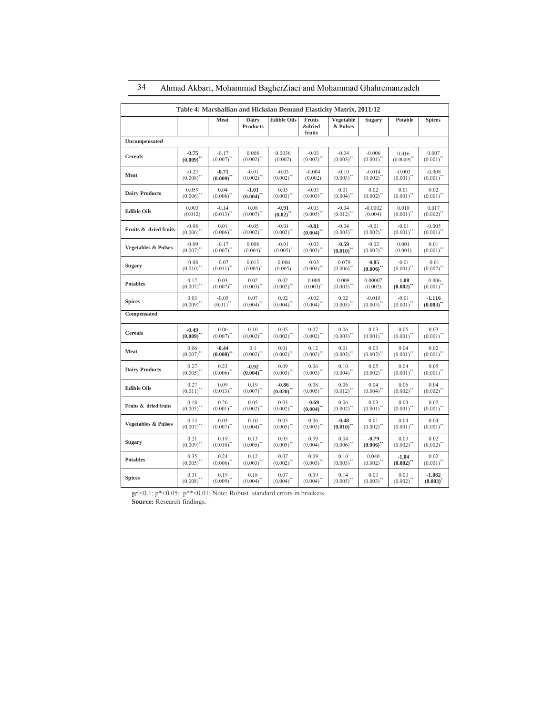| Table 4: Marshallian and Hicksian Demand Elasticity Matrix, 2011/12 |                         |                         |                          |                      |                                       |                       |                 |                      |                         |
|---------------------------------------------------------------------|-------------------------|-------------------------|--------------------------|----------------------|---------------------------------------|-----------------------|-----------------|----------------------|-------------------------|
|                                                                     |                         | Meat                    | Dairy<br><b>Products</b> | <b>Edible Oils</b>   | Fruits<br><b>&amp;dried</b><br>fruits | Vegetable<br>& Pulses | Sugary          | Potable              | <b>Spices</b>           |
| Uncompensated                                                       |                         |                         |                          |                      |                                       |                       |                 |                      |                         |
| <b>Cereals</b>                                                      | $-0.75$                 | $-0.17$                 | 0.008                    | 0.0036               | $-0.03$                               | $-0.04$               | $-0.006$        | 0.016                | 0.007                   |
|                                                                     | $(0.009)^{**}$          | $(0.007)$ **            | $(0.002)$ **             | (0.002)              | $(0.002)$ **                          | $(0.003)$ "           | $(0.001)^{**}$  | $(0.0009)$ **        | $(0.001)$ "             |
| Meat                                                                | $-0.23$                 | $-0.71$                 | $-0.01$                  | $-0.03$              | $-0.004$                              | $-0.10$               | $-0.014$        | $-0.003$             | $-0.008$                |
|                                                                     | $(0.008)$ **            | $(0.009)^{**}$          | $(0.002)$ **             | $(0.002)$ **         | (0.002)                               | $(0.003)^{**}$        | $(0.002)^{**}$  | $(0.001)^{**}$       | $(0.001)^{**}$          |
| <b>Dairy Products</b>                                               | 0.059                   | 0.04                    | $-1.01$                  | 0.05                 | $-0.03$                               | 0.01                  | 0.02            | 0.01                 | 0.02                    |
|                                                                     | $(0.006)$ <sup>**</sup> | $(0.006)$ **            | $(0.004)^{**}$           | $(0.003)$ **         | $(0.003)$ "                           | $(0.004)^{**}$        | $(0.002)$ "     | $(0.001)^{**}$       | $(0.001)$ "             |
| <b>Edible Oils</b>                                                  | 0.003                   | $-0.14$                 | 0.08                     | $-0.91$              | $-0.03$                               | $-0.04$               | $-0.0002$       | 0.018                | 0.017                   |
|                                                                     | (0.012)                 | $(0.013)$ <sup>**</sup> | $(0.007)$ **             | $(0.02)^{n}$         | $(0.005)$ "                           | $(0.012)^{n}$         | (0.004)         | $(0.001)^{n}$        | $(0.002)^{4}$           |
| Fruits & dried fruits                                               | $-0.08$                 | 0.01                    | $-0.05$                  | $-0.01$              | $-0.81$                               | $-0.04$               | $-0.01$         | $-0.01$              | $-0.005$                |
|                                                                     | $(0.006)$ **            | $(0.006)$ **            | $(0.002)$ **             | $(0.002)$ **         | $(0.004)^{**}$                        | $(0.003)$ "           | $(0.002)$ **    | $(0.001)^{**}$       | $(0.001)^{**}$          |
| <b>Vegetables &amp; Pulses</b>                                      | $-0.09$                 | $-0.17$                 | 0.008                    | $-0.01$              | $-0.03$                               | $-0.59$               | $-0.02$         | 0.001                | 0.01                    |
|                                                                     | $(0.007)^{44}$          | $(0.007)$ **            | $(0.004)^{^{\circ}}$     | $(0.005)^{^{\circ}}$ | $(0.003)$ "                           | $(0.010)$ **          | $(0.002)^{''}$  | (0.001)              | $(0.001)^{**}$          |
| <b>Sugary</b>                                                       | $-0.08$                 | $-0.07$                 | 0.013                    | $-0.006$             | $-0.03$                               | $-0.079$              | $-0.85$         | $-0.01$              | $-0.01$                 |
|                                                                     | $(0.010)^{**}$          | $(0.011)^{**}$          | $(0.005)^{^{\circ}}$     | (0.005)              | $(0.004)$ **                          | $(0.006)$ **          | (0.006)         | $(0.001)^{**}$       | $(0.002)$ <sup>**</sup> |
| <b>Potables</b>                                                     | 0.12                    | 0.03                    | 0.02                     | 0.02                 | $-0.008$                              | 0.009                 | 0.00007         | $-1.08$              | $-0.006$                |
|                                                                     | $(0.007)$ *             | $(0.007)$ **            | $(0.003)$ **             | $(0.002)$ **         | $(0.003)^{^{\circ}}$                  | $(0.003)^{''}$        | (0.002)         | $(0.002)^{^{\circ}}$ | $(0.001)^{n}$           |
| <b>Spices</b>                                                       | 0.03                    | $-0.05$                 | 0.07                     | 0.02                 | $-0.02$                               | 0.02                  | $-0.015$        | $-0.01$              | $-1.116$                |
|                                                                     | $(0.009)$ **            | $(0.01)^{**}$           | $(0.004)$ **             | $(0.004)$ **         | $(0.004)^{4}$                         | $(0.005)$ "           | $(0.003)^*$     | $(0.001)^*$          | $(0.003)^{n}$           |
| Compensated                                                         |                         |                         |                          |                      |                                       |                       |                 |                      |                         |
| <b>Cereals</b>                                                      | $-0.49$                 | 0.06                    | 0.10                     | 0.05                 | 0.07                                  | 0.06                  | 0.03            | 0.05                 | 0.03                    |
|                                                                     | $(0.009)^{**}$          | $(0.007)$ **            | $(0.002)$ **             | $(0.002)$ **         | $(0.002)$ "                           | $(0.003)$ "           | $(0.001)^{**}$  | $(0.001)^{**}$       | $(0.001)^{**}$          |
| Meat                                                                | 0.06                    | $-0.44$                 | 0.1                      | 0.01                 | 0.12                                  | 0.01                  | 0.03            | 0.04                 | 0.02                    |
|                                                                     | $(0.007)^{**}$          | $(0.008)$ **            | $(0.002)^{**}$           | $(0.002)^{**}$       | $(0.002)^{n}$                         | $(0.003)^{11}$        | $(0.002)^{11}$  | $(0.001)^{**}$       | $(0.001)^{n}$           |
| <b>Dairy Products</b>                                               | 0.27                    | 0.23                    | $-0.92$                  | 0.09                 | 0.06                                  | 0.10                  | 0.05            | 0.04                 | 0.05                    |
|                                                                     | $(0.005)^{**}$          | $(0.006)$ **            | $(0.004)^{**}$           | $(0.003)$ **         | $(0.003)$ **                          | $(0.004)$ "           | $(0.002)$ "     | $(0.001)^{**}$       | $(0.001)^{**}$          |
| <b>Edible Oils</b>                                                  | 0.27                    | 0.09                    | 0.19                     | $-0.86$              | 0.08                                  | 0.06                  | 0.04            | 0.06                 | 0.04                    |
|                                                                     | $(0.011)^{**}$          | $(0.013)$ <sup>**</sup> | $(0.007)$ **             | (0.020)              | $(0.005)$ "                           | $(0.012)^{n}$         | $(0.004)^{4}$   | $(0.002)^*$          | $(0.002)$ **            |
| Fruits & dried fruits                                               | 0.18                    | 0.26                    | 0.05                     | 0.03                 | $-0.69$                               | 0.06                  | 0.03            | 0.03                 | 0.02                    |
|                                                                     | $(0.005)$ "             | $(0.001)^{**}$          | $(0.002)$ **             | $(0.002)$ **         | $(0.004)$ "                           | $(0.002)^{4}$         | $(0.001)$ "     | $(0.001)$ **         | $(0.001)^{**}$          |
| <b>Vegetables &amp; Pulses</b>                                      | 0.14                    | 0.03                    | 0.10                     | 0.03                 | 0.06                                  | $-0.48$               | 0.01            | 0.04                 | 0.04                    |
|                                                                     | $(0.007)^{**}$          | $(0.007)$ "             | $(0.004)$ **             | $(0.005)$ **         | $(0.003)$ "                           | $(0.010)$ "           | $(0.002)^{4}$   | $(0.001)^{**}$       | $(0.001)$ "             |
| Sugary                                                              | 0.21                    | 0.19                    | 0.13                     | 0.05                 | 0.09                                  | 0.04                  | $-0.79$         | 0.03                 | 0.02                    |
|                                                                     | $(0.009)^{4}$           | $(0.010)^{**}$          | $(0.005)$ **             | $(0.005)$ **         | $(0.004)$ **                          | $(0.006)$ **          | (0.006)         | $(0.002)^{**}$       | $(0.002)$ **            |
| <b>Potables</b>                                                     | 0.35                    | 0.24                    | 0.12                     | 0.07                 | 0.09                                  | 0.10                  | 0.040           | $-1.04$              | 0.02                    |
|                                                                     | $(0.005)$ **            | $(0.006)$ **            | $(0.003)$ **             | $(0.002)$ **         | $(0.003)^{**}$                        | $(0.003)$ "           | $(0.002)^{n}$   | $(0.002)^*$          | $(0.001)$ **            |
| <b>Spices</b>                                                       | 0.31                    | 0.19                    | 0.18                     | 0.07                 | 0.09                                  | 0.14                  | 0.03            | 0.03                 | $-1.082$                |
|                                                                     | $(0.008)^{**}$          | $(0.009)^{**}$          | $(0.004)^{**}$           | $(0.004)$ **         | $(0.004)^{**}$                        | $(0.005)^{'''}$       | $(0.003)^{'''}$ | $(0.002)^{4}$        | $(0.003)^{^{\circ}}$    |

# 34 Ahmad Akbari, Mohammad BagherZiaei and Mohammad Ghahremanzadeh

<0.1; p\*<0.05; p\*\*<0.01; Note: Robust standard errors in brackets

**Source:** Research findings.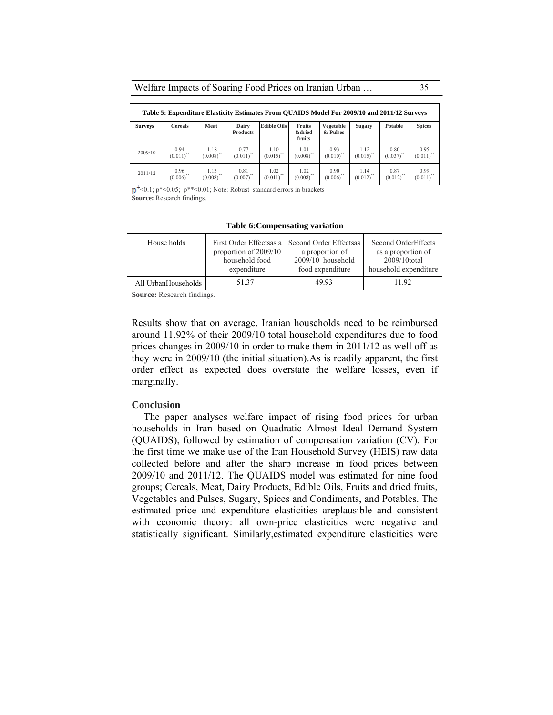#### Welfare Impacts of Soaring Food Prices on Iranian Urban … 35

| Table 5: Expenditure Elasticity Estimates From QUAIDS Model For 2009/10 and 2011/12 Surveys |                                 |                       |                          |                      |                                       |                       |                          |                      |                         |
|---------------------------------------------------------------------------------------------|---------------------------------|-----------------------|--------------------------|----------------------|---------------------------------------|-----------------------|--------------------------|----------------------|-------------------------|
| <b>Surveys</b>                                                                              | <b>Cereals</b>                  | Meat                  | Dairy<br><b>Products</b> | <b>Edible Oils</b>   | Fruits<br><b>&amp;dried</b><br>fruits | Vegetable<br>& Pulses | Sugary                   | Potable              | <b>Spices</b>           |
| 2009/10                                                                                     | 0.94<br>$(0.011)^{**}$          | 1.18<br>$(0.008)$ **  | 0.77<br>$(0.011)^{**}$   | 1.10<br>$(0.015)$ ** | 101<br>$(0.008)$ **                   | 0.93<br>$(0.010)$ **  | 1.12<br>$(0.015)$ "      | 0.80<br>$(0.037)$ ** | 0.95<br>$(0.011)^{'''}$ |
| 2011/12                                                                                     | 0.96<br>$(0.006)$ <sup>**</sup> | 1.13<br>44<br>(0.008) | 0.81<br>(0.007)          | 1.02<br>(0.011)      | 1.02<br>(0.008)                       | 0.90<br>(0.006)       | 1 1 4<br>$(0.012)^{'''}$ | 0.87<br>(0.012)      | 0.99<br>$(0.011)^{'''}$ |

 $\mathbf{p}^+$  <0.1;  $\mathbf{p}^*$  <0.05;  $\mathbf{p}^*$  <0.01; Note: Robust standard errors in brackets

**Source:** Research findings.

#### **Table 6:Compensating variation**

| House holds         | First Order Effectsas a | Second Order Effectsas | Second OrderEffects   |
|---------------------|-------------------------|------------------------|-----------------------|
|                     | proportion of $2009/10$ | a proportion of        | as a proportion of    |
|                     | household food          | 2009/10 household      | 2009/10total          |
|                     | expenditure             | food expenditure       | household expenditure |
| All UrbanHouseholds | 51.37                   | 49.93                  | 1192                  |

**Source:** Research findings.

Results show that on average, Iranian households need to be reimbursed around 11.92% of their 2009/10 total household expenditures due to food prices changes in 2009/10 in order to make them in 2011/12 as well off as they were in 2009/10 (the initial situation).As is readily apparent, the first order effect as expected does overstate the welfare losses, even if marginally.

#### **Conclusion**

The paper analyses welfare impact of rising food prices for urban households in Iran based on Quadratic Almost Ideal Demand System (QUAIDS), followed by estimation of compensation variation (CV). For the first time we make use of the Iran Household Survey (HEIS) raw data collected before and after the sharp increase in food prices between 2009/10 and 2011/12. The QUAIDS model was estimated for nine food groups; Cereals, Meat, Dairy Products, Edible Oils, Fruits and dried fruits, Vegetables and Pulses, Sugary, Spices and Condiments, and Potables. The estimated price and expenditure elasticities areplausible and consistent with economic theory: all own-price elasticities were negative and statistically significant. Similarly,estimated expenditure elasticities were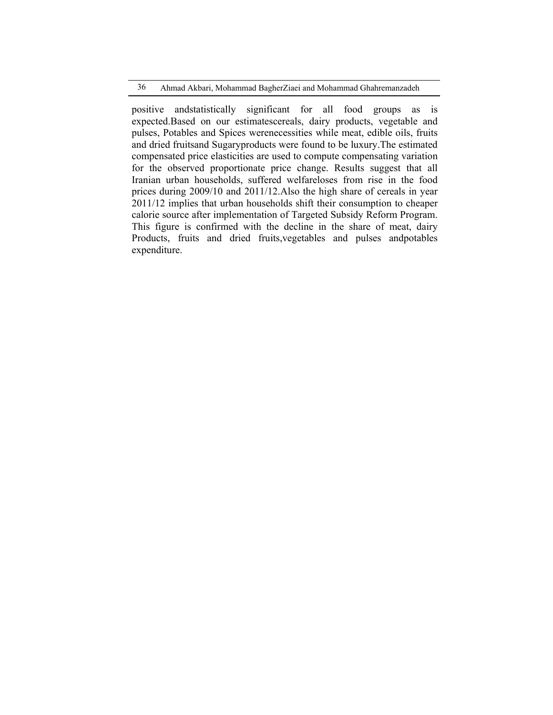positive andstatistically significant for all food groups as is expected.Based on our estimatescereals, dairy products, vegetable and pulses, Potables and Spices werenecessities while meat, edible oils, fruits and dried fruitsand Sugaryproducts were found to be luxury.The estimated compensated price elasticities are used to compute compensating variation for the observed proportionate price change. Results suggest that all Iranian urban households, suffered welfareloses from rise in the food prices during 2009/10 and 2011/12.Also the high share of cereals in year 2011/12 implies that urban households shift their consumption to cheaper calorie source after implementation of Targeted Subsidy Reform Program. This figure is confirmed with the decline in the share of meat, dairy Products, fruits and dried fruits,vegetables and pulses andpotables expenditure.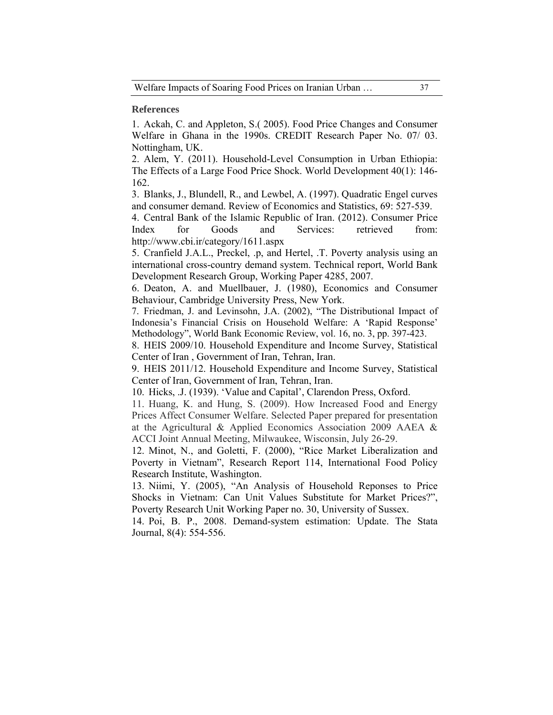### **References**

1. Ackah, C. and Appleton, S.( 2005). Food Price Changes and Consumer Welfare in Ghana in the 1990s. CREDIT Research Paper No. 07/ 03. Nottingham, UK.

2. Alem, Y. (2011). Household-Level Consumption in Urban Ethiopia: The Effects of a Large Food Price Shock. World Development 40(1): 146- 162.

3. Blanks, J., Blundell, R., and Lewbel, A. (1997). Quadratic Engel curves and consumer demand. Review of Economics and Statistics, 69: 527-539.

4. Central Bank of the Islamic Republic of Iran. (2012). Consumer Price Index for Goods and Services: retrieved from: http://www.cbi.ir/category/1611.aspx

5. Cranfield J.A.L., Preckel, .p, and Hertel, .T. Poverty analysis using an international cross-country demand system. Technical report, World Bank Development Research Group, Working Paper 4285, 2007.

6. Deaton, A. and Muellbauer, J. (1980), Economics and Consumer Behaviour, Cambridge University Press, New York.

7. Friedman, J. and Levinsohn, J.A. (2002), "The Distributional Impact of Indonesia's Financial Crisis on Household Welfare: A 'Rapid Response' Methodology", World Bank Economic Review, vol. 16, no. 3, pp. 397-423.

8. HEIS 2009/10. Household Expenditure and Income Survey, Statistical Center of Iran , Government of Iran, Tehran, Iran.

9. HEIS 2011/12. Household Expenditure and Income Survey, Statistical Center of Iran, Government of Iran, Tehran, Iran.

10. Hicks, .J. (1939). 'Value and Capital', Clarendon Press, Oxford.

11. Huang, K. and Hung, S. (2009). How Increased Food and Energy Prices Affect Consumer Welfare. Selected Paper prepared for presentation at the Agricultural & Applied Economics Association 2009 AAEA & ACCI Joint Annual Meeting, Milwaukee, Wisconsin, July 26-29.

12. Minot, N., and Goletti, F. (2000), "Rice Market Liberalization and Poverty in Vietnam", Research Report 114, International Food Policy Research Institute, Washington.

13. Niimi, Y. (2005), "An Analysis of Household Reponses to Price Shocks in Vietnam: Can Unit Values Substitute for Market Prices?", Poverty Research Unit Working Paper no. 30, University of Sussex.

14. Poi, B. P., 2008. Demand-system estimation: Update. The Stata Journal, 8(4): 554-556.